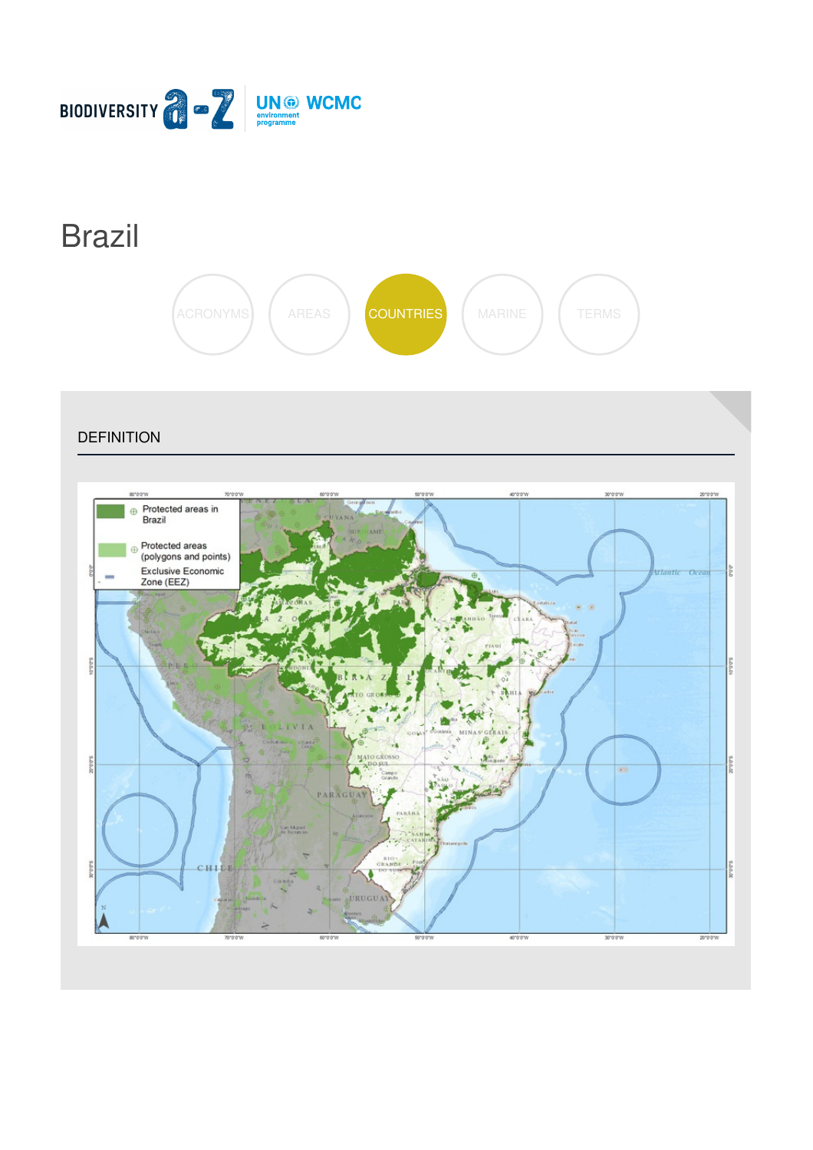

# [Brazil](https://biodiversitya-z.org/content/brazil)



**DEFINITION** 

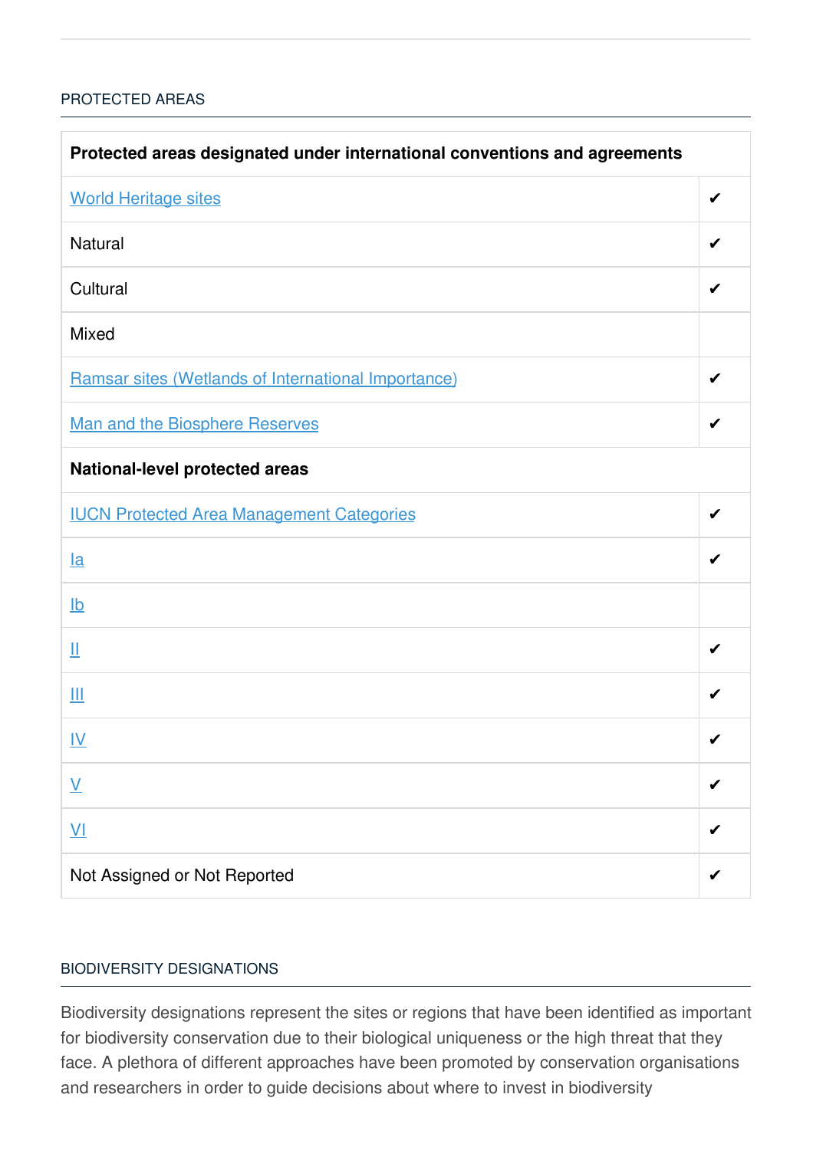## [PROTECTED](javascript:void(0)) AREAS

| Protected areas designated under international conventions and agreements |   |  |
|---------------------------------------------------------------------------|---|--|
| <b>World Heritage sites</b>                                               | ✔ |  |
| <b>Natural</b>                                                            | ✔ |  |
| Cultural                                                                  |   |  |
| <b>Mixed</b>                                                              |   |  |
| Ramsar sites (Wetlands of International Importance)                       | ✔ |  |
| <b>Man and the Biosphere Reserves</b>                                     | ✔ |  |
| <b>National-level protected areas</b>                                     |   |  |
| <b>IUCN Protected Area Management Categories</b>                          | ✔ |  |
| $l$ a                                                                     |   |  |
| $\underline{\mathsf{lb}}$                                                 |   |  |
| Щ                                                                         | ✔ |  |
| Ш                                                                         | ✔ |  |
| <u>IV</u>                                                                 | ✔ |  |
| $\underline{\mathsf{V}}$                                                  |   |  |
| $\underline{\mathsf{V}}$                                                  |   |  |
| Not Assigned or Not Reported                                              |   |  |

### BIODIVERSITY [DESIGNATIONS](javascript:void(0))

Biodiversity designations represent the sites or regions that have been identified as important for biodiversity conservation due to their biological uniqueness or the high threat that they face. A plethora of different approaches have been promoted by conservation organisations and researchers in order to guide decisions about where to invest in biodiversity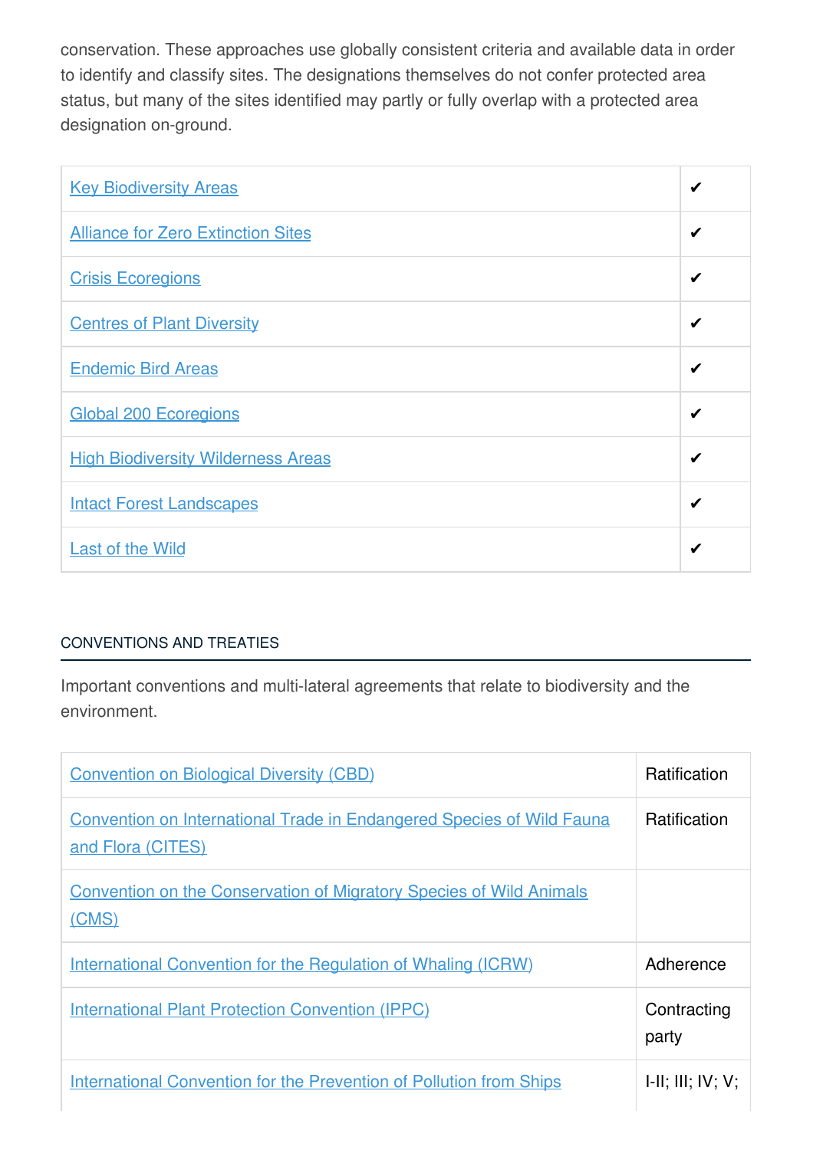conservation. These approaches use globally consistent criteria and available data in order to identify and classify sites. The designations themselves do not confer protected area status, but many of the sites identified may partly or fully overlap with a protected area designation on-ground.

| <b>Key Biodiversity Areas</b>             | ✔ |
|-------------------------------------------|---|
| <b>Alliance for Zero Extinction Sites</b> | ✔ |
| <b>Crisis Ecoregions</b>                  | ✔ |
| <b>Centres of Plant Diversity</b>         | ✔ |
| <b>Endemic Bird Areas</b>                 | ✔ |
| <b>Global 200 Ecoregions</b>              | ✔ |
| <b>High Biodiversity Wilderness Areas</b> | ✔ |
| <b>Intact Forest Landscapes</b>           | ✔ |
| <b>Last of the Wild</b>                   | ✔ |

# [CONVENTIONS](javascript:void(0)) AND TREATIES

Important conventions and multi-lateral agreements that relate to biodiversity and the environment.

| <b>Convention on Biological Diversity (CBD)</b>                                                   | <b>Ratification</b>  |
|---------------------------------------------------------------------------------------------------|----------------------|
| <b>Convention on International Trade in Endangered Species of Wild Fauna</b><br>and Flora (CITES) | <b>Ratification</b>  |
| <b>Convention on the Conservation of Migratory Species of Wild Animals</b><br>(CMS)               |                      |
| International Convention for the Regulation of Whaling (ICRW)                                     | Adherence            |
| <b>International Plant Protection Convention (IPPC)</b>                                           | Contracting<br>party |
| <b>International Convention for the Prevention of Pollution from Ships</b>                        | H: III; IV; V;       |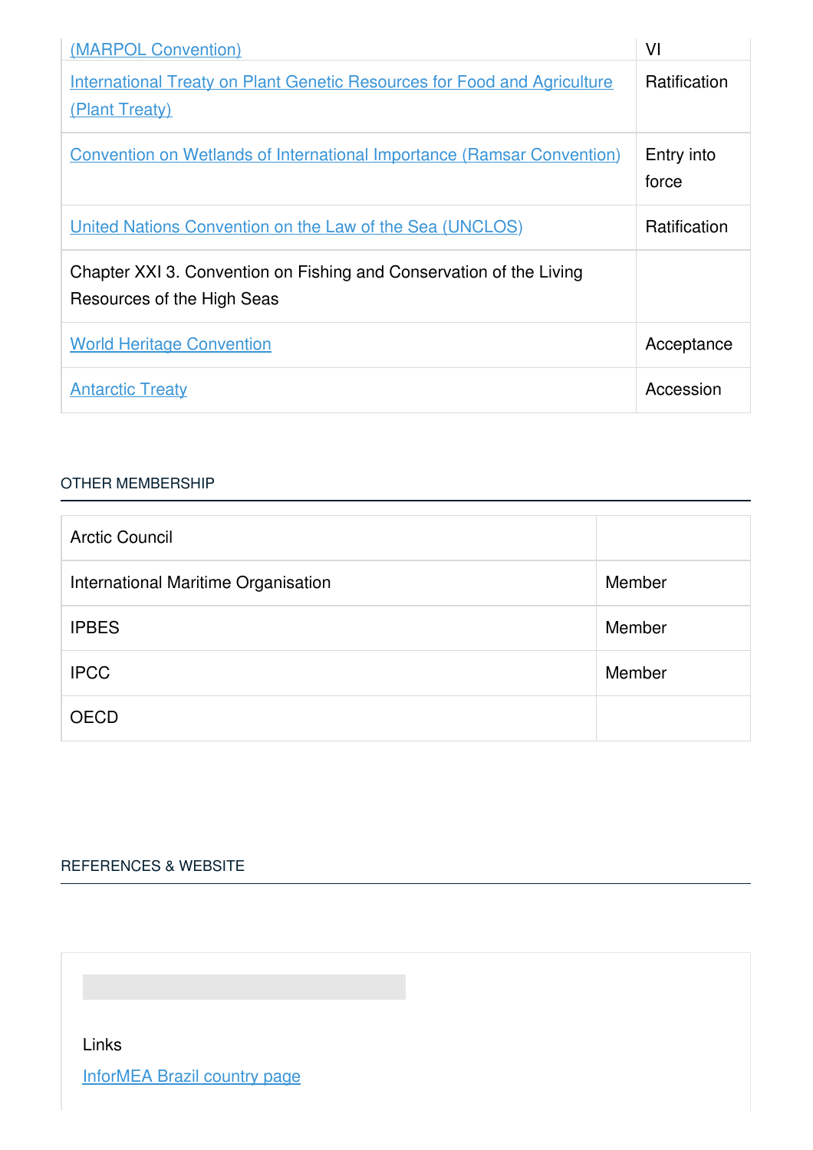| (MARPOL Convention)                                                                               | VI                  |
|---------------------------------------------------------------------------------------------------|---------------------|
| <b>International Treaty on Plant Genetic Resources for Food and Agriculture</b><br>(Plant Treaty) | <b>Ratification</b> |
| <b>Convention on Wetlands of International Importance (Ramsar Convention)</b>                     | Entry into<br>force |
| United Nations Convention on the Law of the Sea (UNCLOS)                                          | <b>Ratification</b> |
| Chapter XXI 3. Convention on Fishing and Conservation of the Living<br>Resources of the High Seas |                     |
| <b>World Heritage Convention</b>                                                                  | Acceptance          |
| <b>Antarctic Treaty</b>                                                                           | Accession           |

#### OTHER [MEMBERSHIP](javascript:void(0))

| <b>Arctic Council</b>               |        |
|-------------------------------------|--------|
| International Maritime Organisation | Member |
| <b>IPBES</b>                        | Member |
| <b>IPCC</b>                         | Member |
| <b>OECD</b>                         |        |

# [REFERENCES](javascript:void(0)) & WEBSITE

Links

[InforMEA](http://www.informea.org/countries/BR) Brazil country page